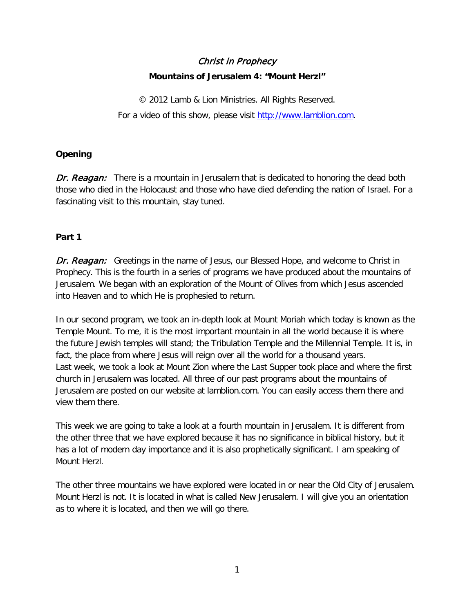# Christ in Prophecy **Mountains of Jerusalem 4: "Mount Herzl"**

© 2012 Lamb & Lion Ministries. All Rights Reserved. For a video of this show, please visit [http://www.lamblion.com.](http://www.lamblion.com/)

# **Opening**

Dr. Reagan:There is a mountain in Jerusalem that is dedicated to honoring the dead both those who died in the Holocaust and those who have died defending the nation of Israel. For a fascinating visit to this mountain, stay tuned.

## **Part 1**

**Dr. Reagan:** Greetings in the name of Jesus, our Blessed Hope, and welcome to Christ in Prophecy. This is the fourth in a series of programs we have produced about the mountains of Jerusalem. We began with an exploration of the Mount of Olives from which Jesus ascended into Heaven and to which He is prophesied to return.

In our second program, we took an in-depth look at Mount Moriah which today is known as the Temple Mount. To me, it is the most important mountain in all the world because it is where the future Jewish temples will stand; the Tribulation Temple and the Millennial Temple. It is, in fact, the place from where Jesus will reign over all the world for a thousand years. Last week, we took a look at Mount Zion where the Last Supper took place and where the first church in Jerusalem was located. All three of our past programs about the mountains of Jerusalem are posted on our website at lamblion.com. You can easily access them there and view them there.

This week we are going to take a look at a fourth mountain in Jerusalem. It is different from the other three that we have explored because it has no significance in biblical history, but it has a lot of modern day importance and it is also prophetically significant. I am speaking of Mount Herzl.

The other three mountains we have explored were located in or near the Old City of Jerusalem. Mount Herzl is not. It is located in what is called New Jerusalem. I will give you an orientation as to where it is located, and then we will go there.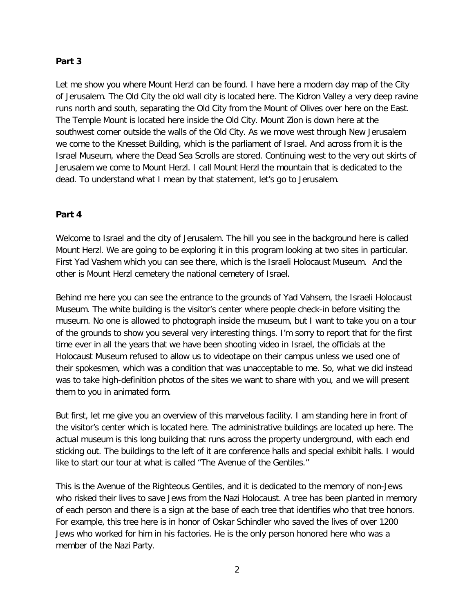#### **Part 3**

Let me show you where Mount Herzl can be found. I have here a modern day map of the City of Jerusalem. The Old City the old wall city is located here. The Kidron Valley a very deep ravine runs north and south, separating the Old City from the Mount of Olives over here on the East. The Temple Mount is located here inside the Old City. Mount Zion is down here at the southwest corner outside the walls of the Old City. As we move west through New Jerusalem we come to the Knesset Building, which is the parliament of Israel. And across from it is the Israel Museum, where the Dead Sea Scrolls are stored. Continuing west to the very out skirts of Jerusalem we come to Mount Herzl. I call Mount Herzl the mountain that is dedicated to the dead. To understand what I mean by that statement, let's go to Jerusalem.

### **Part 4**

Welcome to Israel and the city of Jerusalem. The hill you see in the background here is called Mount Herzl. We are going to be exploring it in this program looking at two sites in particular. First Yad Vashem which you can see there, which is the Israeli Holocaust Museum. And the other is Mount Herzl cemetery the national cemetery of Israel.

Behind me here you can see the entrance to the grounds of Yad Vahsem, the Israeli Holocaust Museum. The white building is the visitor's center where people check-in before visiting the museum. No one is allowed to photograph inside the museum, but I want to take you on a tour of the grounds to show you several very interesting things. I'm sorry to report that for the first time ever in all the years that we have been shooting video in Israel, the officials at the Holocaust Museum refused to allow us to videotape on their campus unless we used one of their spokesmen, which was a condition that was unacceptable to me. So, what we did instead was to take high-definition photos of the sites we want to share with you, and we will present them to you in animated form.

But first, let me give you an overview of this marvelous facility. I am standing here in front of the visitor's center which is located here. The administrative buildings are located up here. The actual museum is this long building that runs across the property underground, with each end sticking out. The buildings to the left of it are conference halls and special exhibit halls. I would like to start our tour at what is called "The Avenue of the Gentiles."

This is the Avenue of the Righteous Gentiles, and it is dedicated to the memory of non-Jews who risked their lives to save Jews from the Nazi Holocaust. A tree has been planted in memory of each person and there is a sign at the base of each tree that identifies who that tree honors. For example, this tree here is in honor of Oskar Schindler who saved the lives of over 1200 Jews who worked for him in his factories. He is the only person honored here who was a member of the Nazi Party.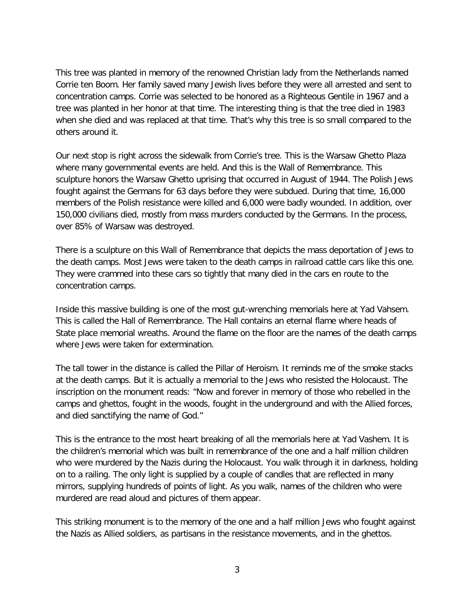This tree was planted in memory of the renowned Christian lady from the Netherlands named Corrie ten Boom. Her family saved many Jewish lives before they were all arrested and sent to concentration camps. Corrie was selected to be honored as a Righteous Gentile in 1967 and a tree was planted in her honor at that time. The interesting thing is that the tree died in 1983 when she died and was replaced at that time. That's why this tree is so small compared to the others around it.

Our next stop is right across the sidewalk from Corrie's tree. This is the Warsaw Ghetto Plaza where many governmental events are held. And this is the Wall of Remembrance. This sculpture honors the Warsaw Ghetto uprising that occurred in August of 1944. The Polish Jews fought against the Germans for 63 days before they were subdued. During that time, 16,000 members of the Polish resistance were killed and 6,000 were badly wounded. In addition, over 150,000 civilians died, mostly from mass murders conducted by the Germans. In the process, over 85% of Warsaw was destroyed.

There is a sculpture on this Wall of Remembrance that depicts the mass deportation of Jews to the death camps. Most Jews were taken to the death camps in railroad cattle cars like this one. They were crammed into these cars so tightly that many died in the cars en route to the concentration camps.

Inside this massive building is one of the most gut-wrenching memorials here at Yad Vahsem. This is called the Hall of Remembrance. The Hall contains an eternal flame where heads of State place memorial wreaths. Around the flame on the floor are the names of the death camps where Jews were taken for extermination.

The tall tower in the distance is called the Pillar of Heroism. It reminds me of the smoke stacks at the death camps. But it is actually a memorial to the Jews who resisted the Holocaust. The inscription on the monument reads: "Now and forever in memory of those who rebelled in the camps and ghettos, fought in the woods, fought in the underground and with the Allied forces, and died sanctifying the name of God."

This is the entrance to the most heart breaking of all the memorials here at Yad Vashem. It is the children's memorial which was built in remembrance of the one and a half million children who were murdered by the Nazis during the Holocaust. You walk through it in darkness, holding on to a railing. The only light is supplied by a couple of candles that are reflected in many mirrors, supplying hundreds of points of light. As you walk, names of the children who were murdered are read aloud and pictures of them appear.

This striking monument is to the memory of the one and a half million Jews who fought against the Nazis as Allied soldiers, as partisans in the resistance movements, and in the ghettos.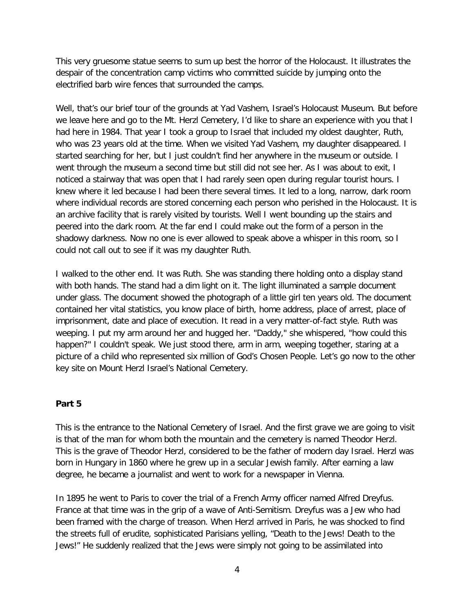This very gruesome statue seems to sum up best the horror of the Holocaust. It illustrates the despair of the concentration camp victims who committed suicide by jumping onto the electrified barb wire fences that surrounded the camps.

Well, that's our brief tour of the grounds at Yad Vashem, Israel's Holocaust Museum. But before we leave here and go to the Mt. Herzl Cemetery, I'd like to share an experience with you that I had here in 1984. That year I took a group to Israel that included my oldest daughter, Ruth, who was 23 years old at the time. When we visited Yad Vashem, my daughter disappeared. I started searching for her, but I just couldn't find her anywhere in the museum or outside. I went through the museum a second time but still did not see her. As I was about to exit, I noticed a stairway that was open that I had rarely seen open during regular tourist hours. I knew where it led because I had been there several times. It led to a long, narrow, dark room where individual records are stored concerning each person who perished in the Holocaust. It is an archive facility that is rarely visited by tourists. Well I went bounding up the stairs and peered into the dark room. At the far end I could make out the form of a person in the shadowy darkness. Now no one is ever allowed to speak above a whisper in this room, so I could not call out to see if it was my daughter Ruth.

I walked to the other end. It was Ruth. She was standing there holding onto a display stand with both hands. The stand had a dim light on it. The light illuminated a sample document under glass. The document showed the photograph of a little girl ten years old. The document contained her vital statistics, you know place of birth, home address, place of arrest, place of imprisonment, date and place of execution. It read in a very matter-of-fact style. Ruth was weeping. I put my arm around her and hugged her. "Daddy," she whispered, "how could this happen?" I couldn't speak. We just stood there, arm in arm, weeping together, staring at a picture of a child who represented six million of God's Chosen People. Let's go now to the other key site on Mount Herzl Israel's National Cemetery.

#### **Part 5**

This is the entrance to the National Cemetery of Israel. And the first grave we are going to visit is that of the man for whom both the mountain and the cemetery is named Theodor Herzl. This is the grave of Theodor Herzl, considered to be the father of modern day Israel. Herzl was born in Hungary in 1860 where he grew up in a secular Jewish family. After earning a law degree, he became a journalist and went to work for a newspaper in Vienna.

In 1895 he went to Paris to cover the trial of a French Army officer named Alfred Dreyfus. France at that time was in the grip of a wave of Anti-Semitism. Dreyfus was a Jew who had been framed with the charge of treason. When Herzl arrived in Paris, he was shocked to find the streets full of erudite, sophisticated Parisians yelling, "Death to the Jews! Death to the Jews!" He suddenly realized that the Jews were simply not going to be assimilated into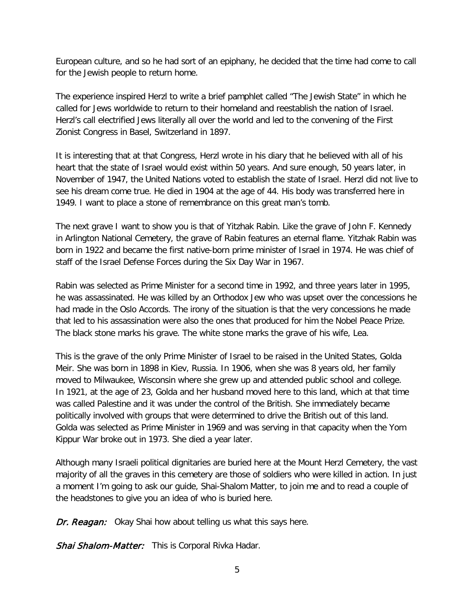European culture, and so he had sort of an epiphany, he decided that the time had come to call for the Jewish people to return home.

The experience inspired Herzl to write a brief pamphlet called "The Jewish State" in which he called for Jews worldwide to return to their homeland and reestablish the nation of Israel. Herzl's call electrified Jews literally all over the world and led to the convening of the First Zionist Congress in Basel, Switzerland in 1897.

It is interesting that at that Congress, Herzl wrote in his diary that he believed with all of his heart that the state of Israel would exist within 50 years. And sure enough, 50 years later, in November of 1947, the United Nations voted to establish the state of Israel. Herzl did not live to see his dream come true. He died in 1904 at the age of 44. His body was transferred here in 1949. I want to place a stone of remembrance on this great man's tomb.

The next grave I want to show you is that of Yitzhak Rabin. Like the grave of John F. Kennedy in Arlington National Cemetery, the grave of Rabin features an eternal flame. Yitzhak Rabin was born in 1922 and became the first native-born prime minister of Israel in 1974. He was chief of staff of the Israel Defense Forces during the Six Day War in 1967.

Rabin was selected as Prime Minister for a second time in 1992, and three years later in 1995, he was assassinated. He was killed by an Orthodox Jew who was upset over the concessions he had made in the Oslo Accords. The irony of the situation is that the very concessions he made that led to his assassination were also the ones that produced for him the Nobel Peace Prize. The black stone marks his grave. The white stone marks the grave of his wife, Lea.

This is the grave of the only Prime Minister of Israel to be raised in the United States, Golda Meir. She was born in 1898 in Kiev, Russia. In 1906, when she was 8 years old, her family moved to Milwaukee, Wisconsin where she grew up and attended public school and college. In 1921, at the age of 23, Golda and her husband moved here to this land, which at that time was called Palestine and it was under the control of the British. She immediately became politically involved with groups that were determined to drive the British out of this land. Golda was selected as Prime Minister in 1969 and was serving in that capacity when the Yom Kippur War broke out in 1973. She died a year later.

Although many Israeli political dignitaries are buried here at the Mount Herzl Cemetery, the vast majority of all the graves in this cemetery are those of soldiers who were killed in action. In just a moment I'm going to ask our guide, Shai-Shalom Matter, to join me and to read a couple of the headstones to give you an idea of who is buried here.

Dr. Reagan: Okay Shai how about telling us what this says here.

Shai Shalom-Matter: This is Corporal Rivka Hadar.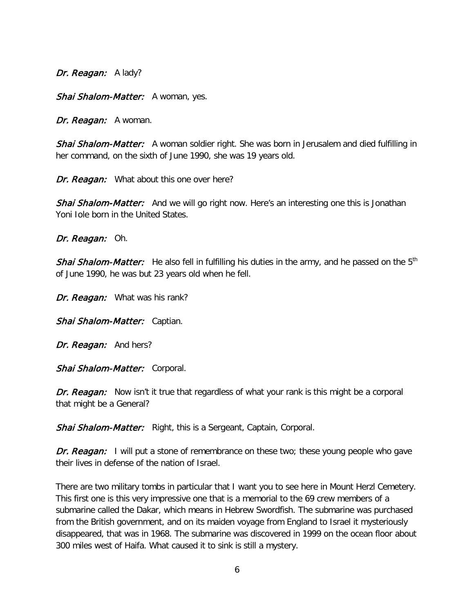Dr. Reagan: A lady?

Shai Shalom-Matter: A woman, yes.

Dr. Reagan: A woman.

Shai Shalom-Matter: A woman soldier right. She was born in Jerusalem and died fulfilling in her command, on the sixth of June 1990, she was 19 years old.

Dr. Reagan: What about this one over here?

Shai Shalom-Matter: And we will go right now. Here's an interesting one this is Jonathan Yoni Iole born in the United States.

Dr. Reagan: Oh.

Shai Shalom-Matter: He also fell in fulfilling his duties in the army, and he passed on the 5<sup>th</sup> of June 1990, he was but 23 years old when he fell.

Dr. Reagan: What was his rank?

Shai Shalom-Matter: Captian.

Dr. Reagan: And hers?

Shai Shalom-Matter: Corporal.

Dr. Reagan: Now isn't it true that regardless of what your rank is this might be a corporal that might be a General?

Shai Shalom-Matter: Right, this is a Sergeant, Captain, Corporal.

Dr. Reagan: I will put a stone of remembrance on these two; these young people who gave their lives in defense of the nation of Israel.

There are two military tombs in particular that I want you to see here in Mount Herzl Cemetery. This first one is this very impressive one that is a memorial to the 69 crew members of a submarine called the Dakar, which means in Hebrew Swordfish. The submarine was purchased from the British government, and on its maiden voyage from England to Israel it mysteriously disappeared, that was in 1968. The submarine was discovered in 1999 on the ocean floor about 300 miles west of Haifa. What caused it to sink is still a mystery.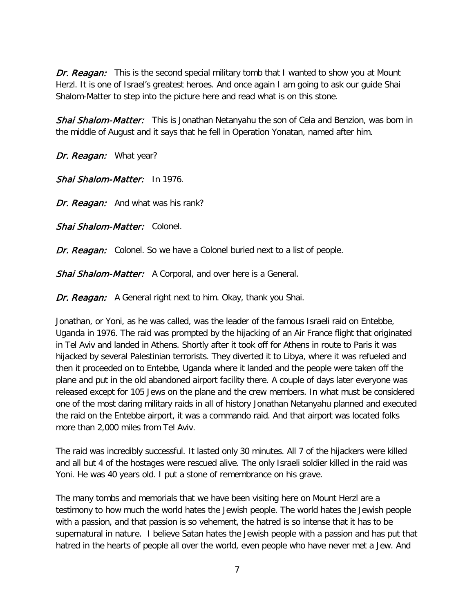Dr. Reagan: This is the second special military tomb that I wanted to show you at Mount Herzl. It is one of Israel's greatest heroes. And once again I am going to ask our guide Shai Shalom-Matter to step into the picture here and read what is on this stone.

Shai Shalom-Matter: This is Jonathan Netanyahu the son of Cela and Benzion, was born in the middle of August and it says that he fell in Operation Yonatan, named after him.

Dr. Reagan: What year?

Shai Shalom-Matter: In 1976.

Dr. Reagan: And what was his rank?

Shai Shalom-Matter: Colonel.

Dr. Reagan: Colonel. So we have a Colonel buried next to a list of people.

Shai Shalom-Matter: A Corporal, and over here is a General.

Dr. Reagan: A General right next to him. Okay, thank you Shai.

Jonathan, or Yoni, as he was called, was the leader of the famous Israeli raid on Entebbe, Uganda in 1976. The raid was prompted by the hijacking of an Air France flight that originated in Tel Aviv and landed in Athens. Shortly after it took off for Athens in route to Paris it was hijacked by several Palestinian terrorists. They diverted it to Libya, where it was refueled and then it proceeded on to Entebbe, Uganda where it landed and the people were taken off the plane and put in the old abandoned airport facility there. A couple of days later everyone was released except for 105 Jews on the plane and the crew members. In what must be considered one of the most daring military raids in all of history Jonathan Netanyahu planned and executed the raid on the Entebbe airport, it was a commando raid. And that airport was located folks more than 2,000 miles from Tel Aviv.

The raid was incredibly successful. It lasted only 30 minutes. All 7 of the hijackers were killed and all but 4 of the hostages were rescued alive. The only Israeli soldier killed in the raid was Yoni. He was 40 years old. I put a stone of remembrance on his grave.

The many tombs and memorials that we have been visiting here on Mount Herzl are a testimony to how much the world hates the Jewish people. The world hates the Jewish people with a passion, and that passion is so vehement, the hatred is so intense that it has to be supernatural in nature. I believe Satan hates the Jewish people with a passion and has put that hatred in the hearts of people all over the world, even people who have never met a Jew. And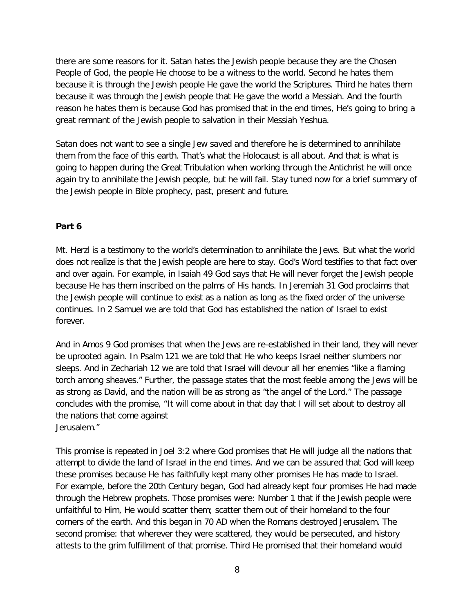there are some reasons for it. Satan hates the Jewish people because they are the Chosen People of God, the people He choose to be a witness to the world. Second he hates them because it is through the Jewish people He gave the world the Scriptures. Third he hates them because it was through the Jewish people that He gave the world a Messiah. And the fourth reason he hates them is because God has promised that in the end times, He's going to bring a great remnant of the Jewish people to salvation in their Messiah Yeshua.

Satan does not want to see a single Jew saved and therefore he is determined to annihilate them from the face of this earth. That's what the Holocaust is all about. And that is what is going to happen during the Great Tribulation when working through the Antichrist he will once again try to annihilate the Jewish people, but he will fail. Stay tuned now for a brief summary of the Jewish people in Bible prophecy, past, present and future.

### **Part 6**

Mt. Herzl is a testimony to the world's determination to annihilate the Jews. But what the world does not realize is that the Jewish people are here to stay. God's Word testifies to that fact over and over again. For example, in Isaiah 49 God says that He will never forget the Jewish people because He has them inscribed on the palms of His hands. In Jeremiah 31 God proclaims that the Jewish people will continue to exist as a nation as long as the fixed order of the universe continues. In 2 Samuel we are told that God has established the nation of Israel to exist forever.

And in Amos 9 God promises that when the Jews are re-established in their land, they will never be uprooted again. In Psalm 121 we are told that He who keeps Israel neither slumbers nor sleeps. And in Zechariah 12 we are told that Israel will devour all her enemies "like a flaming torch among sheaves." Further, the passage states that the most feeble among the Jews will be as strong as David, and the nation will be as strong as "the angel of the Lord." The passage concludes with the promise, "It will come about in that day that I will set about to destroy all the nations that come against Jerusalem."

This promise is repeated in Joel 3:2 where God promises that He will judge all the nations that attempt to divide the land of Israel in the end times. And we can be assured that God will keep these promises because He has faithfully kept many other promises He has made to Israel. For example, before the 20th Century began, God had already kept four promises He had made through the Hebrew prophets. Those promises were: Number 1 that if the Jewish people were unfaithful to Him, He would scatter them; scatter them out of their homeland to the four corners of the earth. And this began in 70 AD when the Romans destroyed Jerusalem. The second promise: that wherever they were scattered, they would be persecuted, and history attests to the grim fulfillment of that promise. Third He promised that their homeland would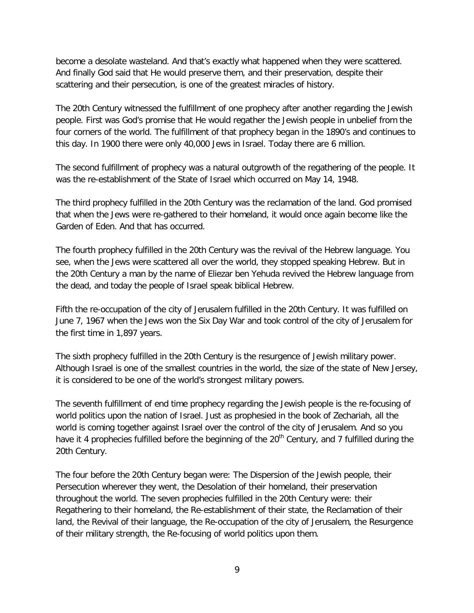become a desolate wasteland. And that's exactly what happened when they were scattered. And finally God said that He would preserve them, and their preservation, despite their scattering and their persecution, is one of the greatest miracles of history.

The 20th Century witnessed the fulfillment of one prophecy after another regarding the Jewish people. First was God's promise that He would regather the Jewish people in unbelief from the four corners of the world. The fulfillment of that prophecy began in the 1890's and continues to this day. In 1900 there were only 40,000 Jews in Israel. Today there are 6 million.

The second fulfillment of prophecy was a natural outgrowth of the regathering of the people. It was the re-establishment of the State of Israel which occurred on May 14, 1948.

The third prophecy fulfilled in the 20th Century was the reclamation of the land. God promised that when the Jews were re-gathered to their homeland, it would once again become like the Garden of Eden. And that has occurred.

The fourth prophecy fulfilled in the 20th Century was the revival of the Hebrew language. You see, when the Jews were scattered all over the world, they stopped speaking Hebrew. But in the 20th Century a man by the name of Eliezar ben Yehuda revived the Hebrew language from the dead, and today the people of Israel speak biblical Hebrew.

Fifth the re-occupation of the city of Jerusalem fulfilled in the 20th Century. It was fulfilled on June 7, 1967 when the Jews won the Six Day War and took control of the city of Jerusalem for the first time in 1,897 years.

The sixth prophecy fulfilled in the 20th Century is the resurgence of Jewish military power. Although Israel is one of the smallest countries in the world, the size of the state of New Jersey, it is considered to be one of the world's strongest military powers.

The seventh fulfillment of end time prophecy regarding the Jewish people is the re-focusing of world politics upon the nation of Israel. Just as prophesied in the book of Zechariah, all the world is coming together against Israel over the control of the city of Jerusalem. And so you have it 4 prophecies fulfilled before the beginning of the 20<sup>th</sup> Century, and 7 fulfilled during the 20th Century.

The four before the 20th Century began were: The Dispersion of the Jewish people, their Persecution wherever they went, the Desolation of their homeland, their preservation throughout the world. The seven prophecies fulfilled in the 20th Century were: their Regathering to their homeland, the Re-establishment of their state, the Reclamation of their land, the Revival of their language, the Re-occupation of the city of Jerusalem, the Resurgence of their military strength, the Re-focusing of world politics upon them.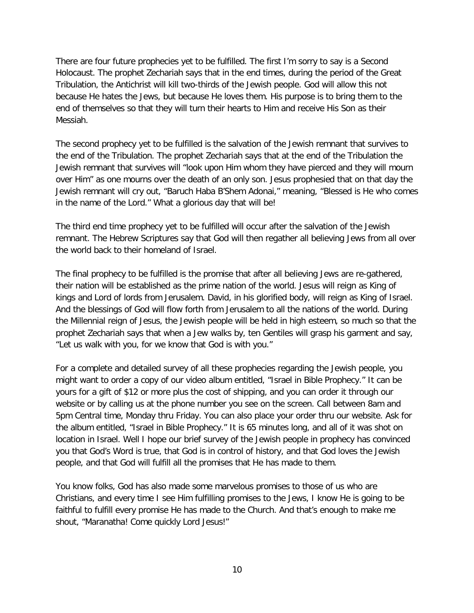There are four future prophecies yet to be fulfilled. The first I'm sorry to say is a Second Holocaust. The prophet Zechariah says that in the end times, during the period of the Great Tribulation, the Antichrist will kill two-thirds of the Jewish people. God will allow this not because He hates the Jews, but because He loves them. His purpose is to bring them to the end of themselves so that they will turn their hearts to Him and receive His Son as their Messiah.

The second prophecy yet to be fulfilled is the salvation of the Jewish remnant that survives to the end of the Tribulation. The prophet Zechariah says that at the end of the Tribulation the Jewish remnant that survives will "look upon Him whom they have pierced and they will mourn over Him" as one mourns over the death of an only son. Jesus prophesied that on that day the Jewish remnant will cry out, "Baruch Haba B'Shem Adonai," meaning, "Blessed is He who comes in the name of the Lord." What a glorious day that will be!

The third end time prophecy yet to be fulfilled will occur after the salvation of the Jewish remnant. The Hebrew Scriptures say that God will then regather all believing Jews from all over the world back to their homeland of Israel.

The final prophecy to be fulfilled is the promise that after all believing Jews are re-gathered, their nation will be established as the prime nation of the world. Jesus will reign as King of kings and Lord of lords from Jerusalem. David, in his glorified body, will reign as King of Israel. And the blessings of God will flow forth from Jerusalem to all the nations of the world. During the Millennial reign of Jesus, the Jewish people will be held in high esteem, so much so that the prophet Zechariah says that when a Jew walks by, ten Gentiles will grasp his garment and say, "Let us walk with you, for we know that God is with you."

For a complete and detailed survey of all these prophecies regarding the Jewish people, you might want to order a copy of our video album entitled, "Israel in Bible Prophecy." It can be yours for a gift of \$12 or more plus the cost of shipping, and you can order it through our website or by calling us at the phone number you see on the screen. Call between 8am and 5pm Central time, Monday thru Friday. You can also place your order thru our website. Ask for the album entitled, "Israel in Bible Prophecy." It is 65 minutes long, and all of it was shot on location in Israel. Well I hope our brief survey of the Jewish people in prophecy has convinced you that God's Word is true, that God is in control of history, and that God loves the Jewish people, and that God will fulfill all the promises that He has made to them.

You know folks, God has also made some marvelous promises to those of us who are Christians, and every time I see Him fulfilling promises to the Jews, I know He is going to be faithful to fulfill every promise He has made to the Church. And that's enough to make me shout, "Maranatha! Come quickly Lord Jesus!"